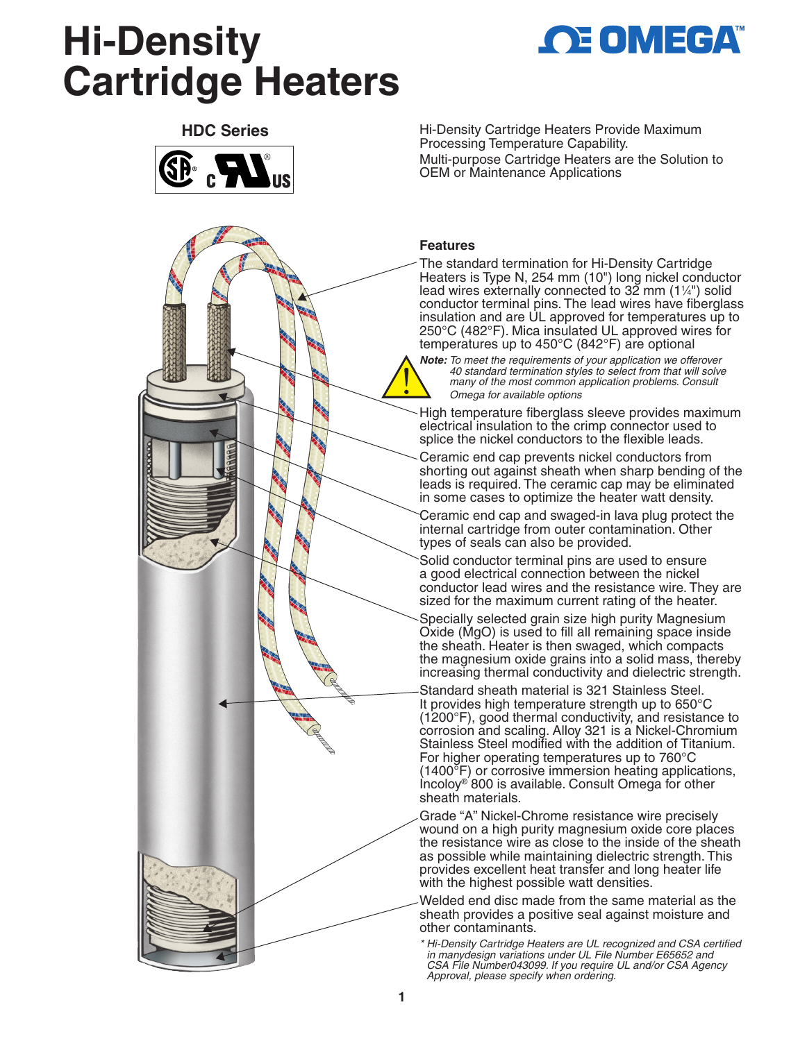# **Hi-Density Cartridge Heaters**







Hi-Density Cartridge Heaters Provide Maximum Processing Temperature Capability. Multi-purpose Cartridge Heaters are the Solution to OEM or Maintenance Applications

#### **Features**

The standard termination for Hi-Density Cartridge Heaters is Type N, 254 mm (10") long nickel conductor lead wires externally connected to 32 mm  $(1\frac{1}{4})$  solid conductor terminal pins. The lead wires have fiberglass insulation and are UL approved for temperatures up to 250°C (482°F). Mica insulated UL approved wires for temperatures up to 450°C (842°F) are optional

*Note: To meet the requirements of your application we offerover 40 standard termination styles to select from that will solve many of the most common application problems. Consult Omega for available options*

High temperature fiberglass sleeve provides maximum electrical insulation to the crimp connector used to splice the nickel conductors to the flexible leads.

Ceramic end cap prevents nickel conductors from shorting out against sheath when sharp bending of the leads is required. The ceramic cap may be eliminated in some cases to optimize the heater watt density.

Ceramic end cap and swaged-in lava plug protect the internal cartridge from outer contamination. Other types of seals can also be provided.

Solid conductor terminal pins are used to ensure a good electrical connection between the nickel conductor lead wires and the resistance wire. They are sized for the maximum current rating of the heater.

Specially selected grain size high purity Magnesium Oxide (MgO) is used to fill all remaining space inside the sheath. Heater is then swaged, which compacts the magnesium oxide grains into a solid mass, thereby increasing thermal conductivity and dielectric strength.

Standard sheath material is 321 Stainless Steel. It provides high temperature strength up to 650°C (1200°F), good thermal conductivity, and resistance to corrosion and scaling. Alloy 321 is a Nickel-Chromium Stainless Steel modified with the addition of Titanium. For higher operating temperatures up to 760°C (1400°F) or corrosive immersion heating applications, Incoloy® 800 is available. Consult Omega for other sheath materials.

Grade "A" Nickel-Chrome resistance wire precisely wound on a high purity magnesium oxide core places the resistance wire as close to the inside of the sheath as possible while maintaining dielectric strength. This provides excellent heat transfer and long heater life with the highest possible watt densities.

Welded end disc made from the same material as the sheath provides a positive seal against moisture and other contaminants.

*\* Hi-Density Cartridge Heaters are UL recognized and CSA certified in manydesign variations under UL File Number E65652 and CSA File Number043099. If you require UL and/or CSA Agency Approval, please specify when ordering.*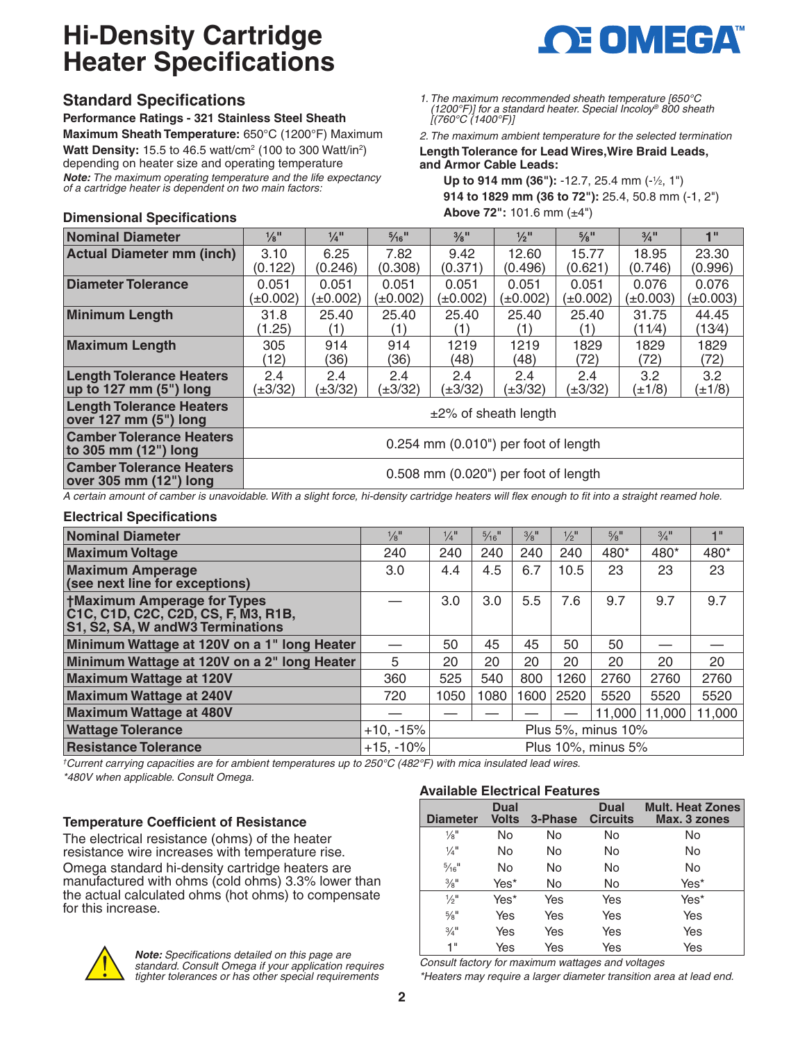## **Hi-Density Cartridge Heater Specifications**

#### **Standard Specifications**

**Dimensional Specifications**

**Performance Ratings - 321 Stainless Steel Sheath Maximum Sheath Temperature:** 650°C (1200°F) Maximum **Watt Density:** 15.5 to 46.5 watt/cm<sup>2</sup> (100 to 300 Watt/in<sup>2</sup>) depending on heater size and operating temperature *Note: The maximum operating temperature and the life expectancy of a cartridge heater is dependent on two main factors:*



*1. The maximum recommended sheath temperature [650°C (1200°F)] for a standard heater. Special Incoloy® 800 sheath [(760°C (1400°F)]*

*2. The maximum ambient temperature for the selected termination* **Length Tolerance for Lead Wires,Wire Braid Leads,** 

**and Armor Cable Leads:**

**Up to 914 mm (36"): -12.7, 25.4 mm (-1/2, 1") 914 to 1829 mm (36 to 72"):** 25.4, 50.8 mm (-1, 2") **Above 72":** 101.6 mm (±4")

| Nominal Diameter                                                                                                                                                                                                               | $\frac{1}{8}$ <sup>II</sup>             | $\frac{1}{4}$ <sup>11</sup> | $\frac{5}{16}$ <sup>11</sup> | $\frac{3}{8}$ <sup>II</sup> | $\frac{1}{2}$ <sup>II</sup> | $\frac{5}{8}$ <sup>II</sup> | $3/4$ <sup>11</sup>             | 1"                     |
|--------------------------------------------------------------------------------------------------------------------------------------------------------------------------------------------------------------------------------|-----------------------------------------|-----------------------------|------------------------------|-----------------------------|-----------------------------|-----------------------------|---------------------------------|------------------------|
| <b>Actual Diameter mm (inch)</b>                                                                                                                                                                                               | 3.10<br>(0.122)                         | 6.25<br>(0.246)             | 7.82<br>(0.308)              | 9.42<br>(0.371)             | 12.60<br>(0.496)            | 15.77<br>(0.621)            | 18.95<br>(0.746)                | 23.30<br>(0.996)       |
| Diameter Tolerance                                                                                                                                                                                                             | 0.051<br>(±0.002)                       | 0.051<br>(±0.002)           | 0.051<br>(±0.002)            | 0.051<br>(±0.002)           | 0.051<br>(±0.002)           | 0.051<br>(±0.002)           | 0.076<br>(±0.003)               | 0.076<br>$(\pm 0.003)$ |
| <b>Minimum Length</b>                                                                                                                                                                                                          | 31.8<br>1.25)                           | 25.40<br>(1)                | 25.40                        | 25.40<br>(1)                | 25.40<br>(1)                | 25.40<br>(1)                | 31.75<br>(11/4)                 | 44.45<br>(13⁄4)        |
| <b>Maximum Length</b>                                                                                                                                                                                                          | 305<br>(12)                             | 914<br>36)                  | 914<br>(36)                  | 1219<br>(48)                | 1219<br>(48)                | 1829<br>(72)                | 1829<br>(72)                    | 1829<br>(72)           |
| <b>Length Tolerance Heaters</b><br>up to 127 mm $(5")$ long                                                                                                                                                                    | 2.4<br>(±3/32)                          | 2.4<br>(±3/32)              | 2.4<br>(±3/32)               | 2.4<br>(±3/32)              | 2.4<br>(±3/32)              | 2.4<br>(±3/32)              | 3.2 <sub>2</sub><br>$(\pm 1/8)$ | 3.2<br>(±1/8)          |
| <b>Length Tolerance Heaters</b><br>$over 127$ mm $(5")$ long                                                                                                                                                                   | $\pm$ 2% of sheath length               |                             |                              |                             |                             |                             |                                 |                        |
| <b>Camber Tolerance Heaters</b><br>to 305 mm (12") long                                                                                                                                                                        | $0.254$ mm $(0.010)$ per foot of length |                             |                              |                             |                             |                             |                                 |                        |
| <b>Camber Tolerance Heaters</b><br>$\alpha$ over 305 mm $(12^{\circ})$ long                                                                                                                                                    | 0.508 mm (0.020") per foot of length    |                             |                              |                             |                             |                             |                                 |                        |
| A contribution of contracts and attached Mini-collections of descriptions in the contract of the contract of the contract of the contract of the contract of the contract of the contract of the contract of the contract of t |                                         |                             |                              |                             |                             |                             |                                 |                        |

*A certain amount of camber is unavoidable. With a slight force, hi-density cartridge heaters will flex enough to fit into a straight reamed hole.*

#### **Electrical Specifications**

| <b>Nominal Diameter</b>                                                                                        | $\frac{1}{8}$ <sup>11</sup> | $\frac{1}{4}$      | $\frac{5}{16}$ <sup>11</sup> | $3/8$ <sup>II</sup> | $\frac{1}{2}$ <sup>11</sup> | $\frac{5}{8}$ <sup>11</sup> | $3/4$ <sup>11</sup> | 1"     |
|----------------------------------------------------------------------------------------------------------------|-----------------------------|--------------------|------------------------------|---------------------|-----------------------------|-----------------------------|---------------------|--------|
| <b>Maximum Voltage</b>                                                                                         | 240                         | 240                | 240                          | 240                 | 240                         | 480*                        | 480*                | 480*   |
| <b>Maximum Amperage</b><br>(see next line for exceptions)                                                      | 3.0                         | 4.4                | 4.5                          | 6.7                 | 10.5                        | 23                          | 23                  | 23     |
| <b>†Maximum Amperage for Types</b><br>C1C, C1D, C2C, C2D, CS, F, M3, R1B,<br>S1, S2, SA, W and W3 Terminations |                             | 3.0                | 3.0                          | 5.5                 | 7.6                         | 9.7                         | 9.7                 | 9.7    |
| Minimum Wattage at 120V on a 1" long Heater                                                                    |                             | 50                 | 45                           | 45                  | 50                          | 50                          |                     |        |
| Minimum Wattage at 120V on a 2" long Heater                                                                    | 5                           | 20                 | 20                           | 20                  | 20                          | 20                          | 20                  | 20     |
| <b>Maximum Wattage at 120V</b>                                                                                 | 360                         | 525                | 540                          | 800                 | 1260                        | 2760                        | 2760                | 2760   |
| <b>Maximum Wattage at 240V</b>                                                                                 | 720                         | 1050               | 1080                         | 1600                | 2520                        | 5520                        | 5520                | 5520   |
| <b>Maximum Wattage at 480V</b>                                                                                 |                             |                    |                              |                     |                             | 11.000                      | 11.000              | 11,000 |
| <b>Wattage Tolerance</b>                                                                                       | $+10, -15%$                 | Plus 5%, minus 10% |                              |                     |                             |                             |                     |        |
| <b>Resistance Tolerance</b>                                                                                    | $+15, -10%$                 | Plus 10%, minus 5% |                              |                     |                             |                             |                     |        |

*† Current carrying capacities are for ambient temperatures up to 250°C (482°F) with mica insulated lead wires. \*480V when applicable. Consult Omega.*

#### **Temperature Coefficient of Resistance**

The electrical resistance (ohms) of the heater resistance wire increases with temperature rise. Omega standard hi-density cartridge heaters are manufactured with ohms (cold ohms) 3.3% lower than the actual calculated ohms (hot ohms) to compensate for this increase.

#### **Available Electrical Features**

| <b>Diameter</b>              | <b>Dual</b><br><b>Volts</b> | 3-Phase | <b>Dual</b><br><b>Circuits</b> | <b>Mult. Heat Zones</b><br>Max. 3 zones |
|------------------------------|-----------------------------|---------|--------------------------------|-----------------------------------------|
| $\frac{1}{8}$ <sup>11</sup>  | No                          | No      | No                             | No                                      |
| $\frac{1}{4}$ <sup>11</sup>  | No                          | No      | No                             | No                                      |
| $\frac{5}{16}$ <sup>11</sup> | No                          | No      | No                             | No                                      |
| $\frac{3}{8}$ <sup>11</sup>  | Yes*                        | No      | No                             | Yes*                                    |
| $\frac{1}{2}$ <sup>11</sup>  | Yes*                        | Yes     | Yes                            | Yes*                                    |
| $\frac{5}{8}$ <sup>11</sup>  | Yes                         | Yes     | Yes                            | Yes                                     |
| $\frac{3}{4}$ <sup>11</sup>  | Yes                         | Yes     | Yes                            | Yes                                     |
| 1"                           | Yes                         | Yes     | Yes                            | Yes                                     |



*Note: Specifications detailed on this page are standard. Consult Omega if your application requires tighter tolerances or has other special requirements*

*Consult factory for maximum wattages and voltages \*Heaters may require a larger diameter transition area at lead end.*

**2**